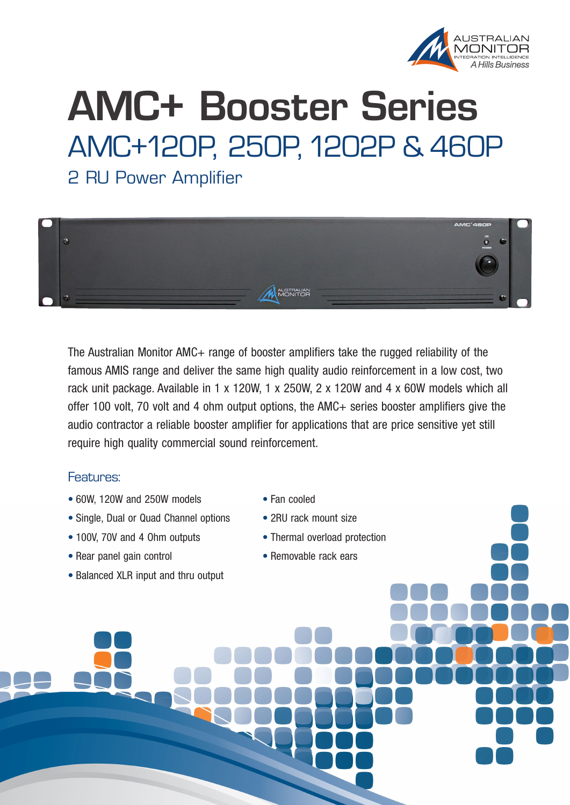

## **AMC+ Booster Series** AMC+120P, 250P, 1202P & 460P

2 RU Power Amplifier



The Australian Monitor AMC+ range of booster amplifiers take the rugged reliability of the famous AMIS range and deliver the same high quality audio reinforcement in a low cost, two rack unit package. Available in 1 x 120W, 1 x 250W, 2 x 120W and 4 x 60W models which all offer 100 volt, 70 volt and 4 ohm output options, the AMC+ series booster amplifiers give the audio contractor a reliable booster amplifier for applications that are price sensitive yet still require high quality commercial sound reinforcement.

## Features:

- 60W, 120W and 250W models
- Single, Dual or Quad Channel options
- 100V, 70V and 4 Ohm outputs
- Rear panel gain control
- Balanced XLR input and thru output
- Fan cooled
- 2RU rack mount size
- Thermal overload protection
- Removable rack ears